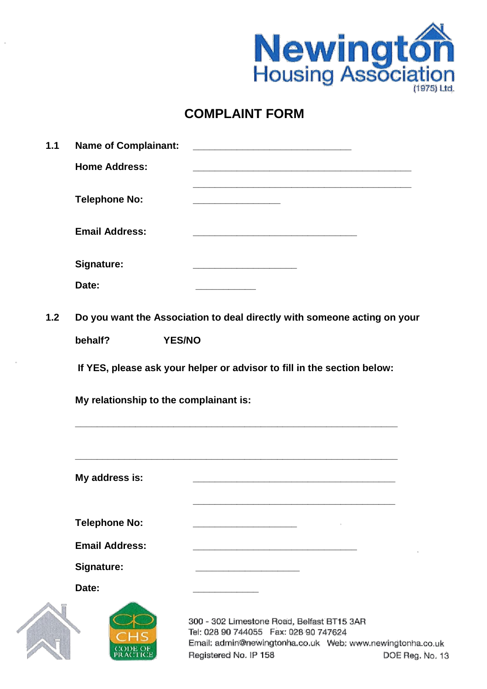

## **COMPLAINT FORM**

| 1.1 | <b>Name of Complainant:</b>                                                                                       |                                                                                                                         |                 |
|-----|-------------------------------------------------------------------------------------------------------------------|-------------------------------------------------------------------------------------------------------------------------|-----------------|
|     | <b>Home Address:</b>                                                                                              | the control of the control of the control of the control of the control of the control of the control of the control of |                 |
|     | <b>Telephone No:</b>                                                                                              |                                                                                                                         |                 |
|     | <b>Email Address:</b>                                                                                             |                                                                                                                         |                 |
|     | <b>Signature:</b>                                                                                                 | <u> 1989 - Johann Stein, mars an deus Amerikaansk kommunister (</u>                                                     |                 |
|     | Date:                                                                                                             |                                                                                                                         |                 |
| 1.2 | Do you want the Association to deal directly with someone acting on your                                          |                                                                                                                         |                 |
|     | behalf?                                                                                                           | <b>YES/NO</b>                                                                                                           |                 |
|     | If YES, please ask your helper or advisor to fill in the section below:<br>My relationship to the complainant is: |                                                                                                                         |                 |
|     | My address is:                                                                                                    |                                                                                                                         |                 |
|     |                                                                                                                   |                                                                                                                         |                 |
|     | <b>Telephone No:</b>                                                                                              |                                                                                                                         |                 |
|     | <b>Email Address:</b>                                                                                             |                                                                                                                         |                 |
|     | <b>Signature:</b>                                                                                                 |                                                                                                                         |                 |
|     | Date:                                                                                                             |                                                                                                                         |                 |
|     | CODE OF<br>PRACTICE                                                                                               | 300 - 302 Limestone Road, Belfast BT15 3AR<br>Tel: 028 90 744055  Fax: 028 90 747624<br>Registered No. IP 158           | DOE Reg. No. 13 |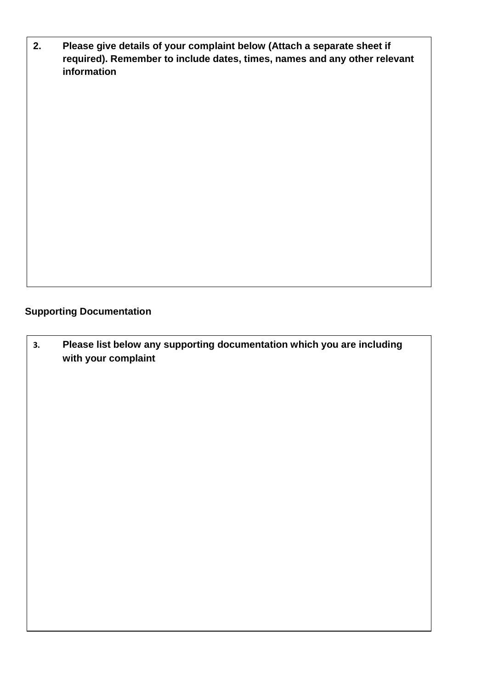**2. Please give details of your complaint below (Attach a separate sheet if required). Remember to include dates, times, names and any other relevant information**

## **Supporting Documentation**

**3. Please list below any supporting documentation which you are including with your complaint**